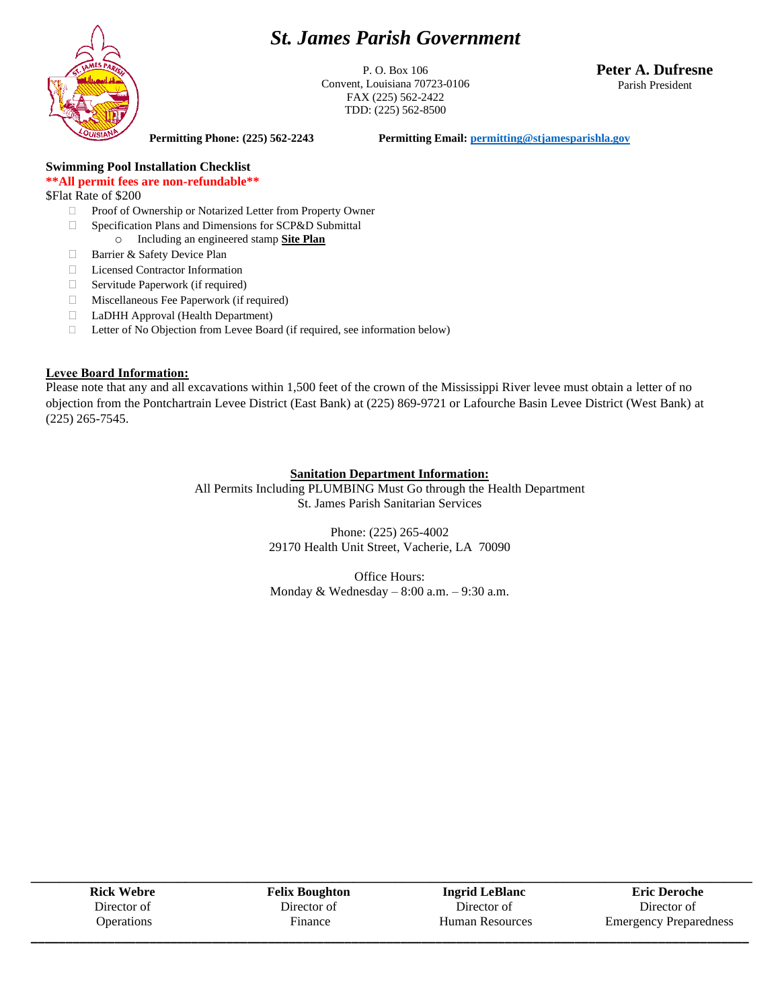## *St. James Parish Government*



P. O. Box 106 Convent, Louisiana 70723-0106 FAX (225) 562-2422 TDD: (225) 562-8500

**Peter A. Dufresne** Parish President

**Permitting Phone: (225) 562-2243 Permitting Email[: permitting@stjamesparishla.gov](mailto:permitting@stjamesparishla.gov)**

#### **Swimming Pool Installation Checklist \*\*All permit fees are non-refundable\*\***

\$Flat Rate of \$200

- □ Proof of Ownership or Notarized Letter from Property Owner
- □ Specification Plans and Dimensions for SCP&D Submittal
	- o Including an engineered stamp **Site Plan**
- □ Barrier & Safety Device Plan
- Licensed Contractor Information
- $\Box$  Servitude Paperwork (if required)
- Miscellaneous Fee Paperwork (if required) LaDHH Approval (Health Department)
- Letter of No Objection from Levee Board (if required, see information below)

#### **Levee Board Information:**

Please note that any and all excavations within 1,500 feet of the crown of the Mississippi River levee must obtain a letter of no objection from the Pontchartrain Levee District (East Bank) at (225) 869-9721 or Lafourche Basin Levee District (West Bank) at (225) 265-7545.

#### **Sanitation Department Information:**

All Permits Including PLUMBING Must Go through the Health Department St. James Parish Sanitarian Services

> Phone: (225) 265-4002 29170 Health Unit Street, Vacherie, LA 70090

> Office Hours: Monday & Wednesday – 8:00 a.m. – 9:30 a.m.

| <b>Rick Webre</b> | <b>Felix Boughton</b> | <b>Ingrid LeBlanc</b>  | <b>Eric Deroche</b>           |
|-------------------|-----------------------|------------------------|-------------------------------|
| Director of       | Director of           | Director of            | Director of                   |
| <b>Operations</b> | Finance               | <b>Human Resources</b> | <b>Emergency Preparedness</b> |
|                   |                       |                        |                               |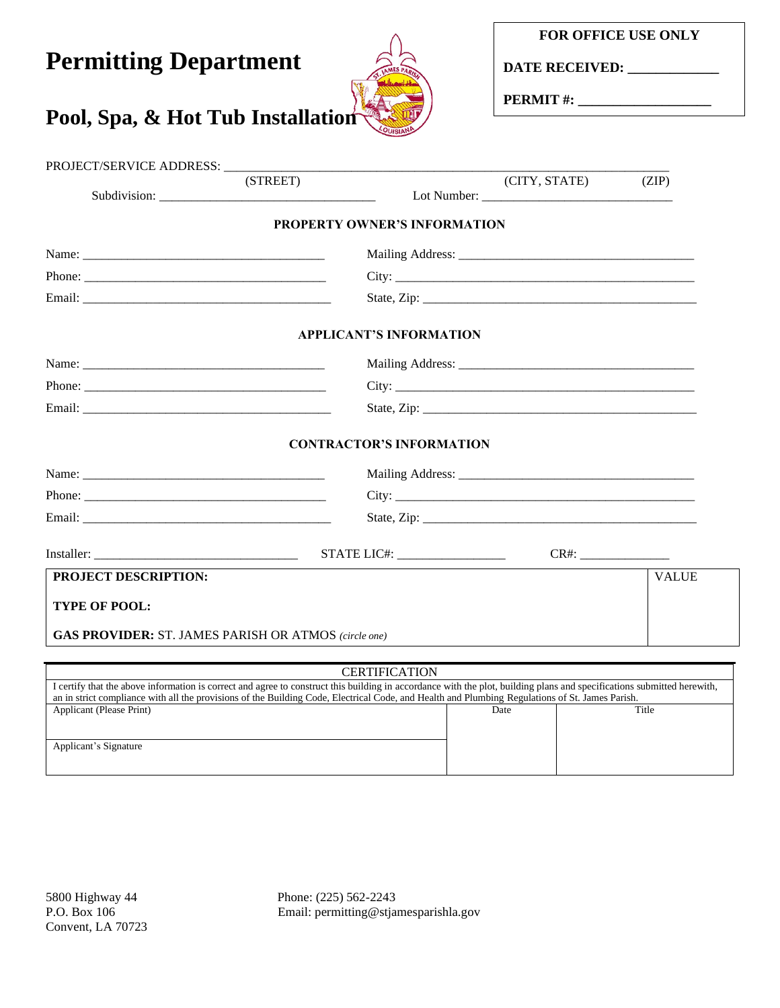**DATE RECEIVED: \_\_\_\_\_\_\_\_\_\_\_\_\_**

**PERMIT #: \_\_\_\_\_\_\_\_\_\_\_\_\_\_\_\_\_\_\_**

## PROJECT/SERVICE ADDRESS: \_\_\_\_\_\_\_\_\_\_\_\_\_\_\_\_\_\_\_\_\_\_\_\_\_\_\_\_\_\_\_\_\_\_\_\_\_\_\_\_\_\_\_\_\_\_\_\_\_\_\_\_\_\_\_\_\_\_\_\_\_\_\_\_\_\_\_\_\_\_  $(CITY, STATE)$  (ZIP) Subdivision: \_\_\_\_\_\_\_\_\_\_\_\_\_\_\_\_\_\_\_\_\_\_\_\_\_\_\_\_\_\_\_\_\_\_ Lot Number: \_\_\_\_\_\_\_\_\_\_\_\_\_\_\_\_\_\_\_\_\_\_\_\_\_\_\_\_\_\_ **PROPERTY OWNER'S INFORMATION** Name: \_\_\_\_\_\_\_\_\_\_\_\_\_\_\_\_\_\_\_\_\_\_\_\_\_\_\_\_\_\_\_\_\_\_\_\_\_\_ Mailing Address: \_\_\_\_\_\_\_\_\_\_\_\_\_\_\_\_\_\_\_\_\_\_\_\_\_\_\_\_\_\_\_\_\_\_\_\_\_ Phone: \_\_\_\_\_\_\_\_\_\_\_\_\_\_\_\_\_\_\_\_\_\_\_\_\_\_\_\_\_\_\_\_\_\_\_\_\_\_ City: \_\_\_\_\_\_\_\_\_\_\_\_\_\_\_\_\_\_\_\_\_\_\_\_\_\_\_\_\_\_\_\_\_\_\_\_\_\_\_\_\_\_\_\_\_\_\_ Email: \_\_\_\_\_\_\_\_\_\_\_\_\_\_\_\_\_\_\_\_\_\_\_\_\_\_\_\_\_\_\_\_\_\_\_\_\_\_\_ State, Zip: \_\_\_\_\_\_\_\_\_\_\_\_\_\_\_\_\_\_\_\_\_\_\_\_\_\_\_\_\_\_\_\_\_\_\_\_\_\_\_\_\_\_\_ **APPLICANT'S INFORMATION** Name: \_\_\_\_\_\_\_\_\_\_\_\_\_\_\_\_\_\_\_\_\_\_\_\_\_\_\_\_\_\_\_\_\_\_\_\_\_\_ Mailing Address: \_\_\_\_\_\_\_\_\_\_\_\_\_\_\_\_\_\_\_\_\_\_\_\_\_\_\_\_\_\_\_\_\_\_\_\_\_ Phone: \_\_\_\_\_\_\_\_\_\_\_\_\_\_\_\_\_\_\_\_\_\_\_\_\_\_\_\_\_\_\_\_\_\_\_\_\_\_ City: \_\_\_\_\_\_\_\_\_\_\_\_\_\_\_\_\_\_\_\_\_\_\_\_\_\_\_\_\_\_\_\_\_\_\_\_\_\_\_\_\_\_\_\_\_\_\_ Email: \_\_\_\_\_\_\_\_\_\_\_\_\_\_\_\_\_\_\_\_\_\_\_\_\_\_\_\_\_\_\_\_\_\_\_\_\_\_\_ State, Zip: \_\_\_\_\_\_\_\_\_\_\_\_\_\_\_\_\_\_\_\_\_\_\_\_\_\_\_\_\_\_\_\_\_\_\_\_\_\_\_\_\_\_\_ **CONTRACTOR'S INFORMATION** Name: \_\_\_\_\_\_\_\_\_\_\_\_\_\_\_\_\_\_\_\_\_\_\_\_\_\_\_\_\_\_\_\_\_\_\_\_\_\_ Mailing Address: \_\_\_\_\_\_\_\_\_\_\_\_\_\_\_\_\_\_\_\_\_\_\_\_\_\_\_\_\_\_\_\_\_\_\_\_\_ Phone: \_\_\_\_\_\_\_\_\_\_\_\_\_\_\_\_\_\_\_\_\_\_\_\_\_\_\_\_\_\_\_\_\_\_\_\_\_\_ City: \_\_\_\_\_\_\_\_\_\_\_\_\_\_\_\_\_\_\_\_\_\_\_\_\_\_\_\_\_\_\_\_\_\_\_\_\_\_\_\_\_\_\_\_\_\_\_ Email: \_\_\_\_\_\_\_\_\_\_\_\_\_\_\_\_\_\_\_\_\_\_\_\_\_\_\_\_\_\_\_\_\_\_\_\_\_\_\_ State, Zip: \_\_\_\_\_\_\_\_\_\_\_\_\_\_\_\_\_\_\_\_\_\_\_\_\_\_\_\_\_\_\_\_\_\_\_\_\_\_\_\_\_\_\_ Installer: \_\_\_\_\_\_\_\_\_\_\_\_\_\_\_\_\_\_\_\_\_\_\_\_\_\_\_\_\_\_\_\_ STATE LIC#: \_\_\_\_\_\_\_\_\_\_\_\_\_\_\_\_\_ CR#: \_\_\_\_\_\_\_\_\_\_\_\_\_\_ **PROJECT DESCRIPTION: TYPE OF POOL: GAS PROVIDER:** ST. JAMES PARISH OR ATMOS *(circle one)* VALUE **CERTIFICATION** I certify that the above information is correct and agree to construct this building in accordance with the plot, building plans and specifications submitted herewith, an in strict compliance with all the provisions of the Building Code, Electrical Code, and Health and Plumbing Regulations of St. James Parish. Applicant (Please Print) Title

Applicant's Signature

5800 Highway 44 Phone: (225) 562-2243 P.O. Box 106 Email: permitting@stjamesparishla.gov

# **Permitting Department**